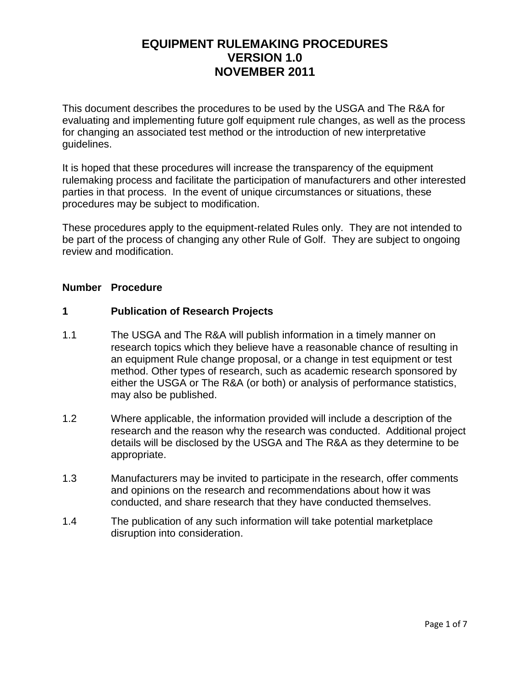# **EQUIPMENT RULEMAKING PROCEDURES VERSION 1.0 NOVEMBER 2011**

This document describes the procedures to be used by the USGA and The R&A for evaluating and implementing future golf equipment rule changes, as well as the process for changing an associated test method or the introduction of new interpretative guidelines.

It is hoped that these procedures will increase the transparency of the equipment rulemaking process and facilitate the participation of manufacturers and other interested parties in that process. In the event of unique circumstances or situations, these procedures may be subject to modification.

These procedures apply to the equipment-related Rules only. They are not intended to be part of the process of changing any other Rule of Golf. They are subject to ongoing review and modification.

#### **Number Procedure**

#### **1 Publication of Research Projects**

- 1.1 The USGA and The R&A will publish information in a timely manner on research topics which they believe have a reasonable chance of resulting in an equipment Rule change proposal, or a change in test equipment or test method. Other types of research, such as academic research sponsored by either the USGA or The R&A (or both) or analysis of performance statistics, may also be published.
- 1.2 Where applicable, the information provided will include a description of the research and the reason why the research was conducted. Additional project details will be disclosed by the USGA and The R&A as they determine to be appropriate.
- 1.3 Manufacturers may be invited to participate in the research, offer comments and opinions on the research and recommendations about how it was conducted, and share research that they have conducted themselves.
- 1.4 The publication of any such information will take potential marketplace disruption into consideration.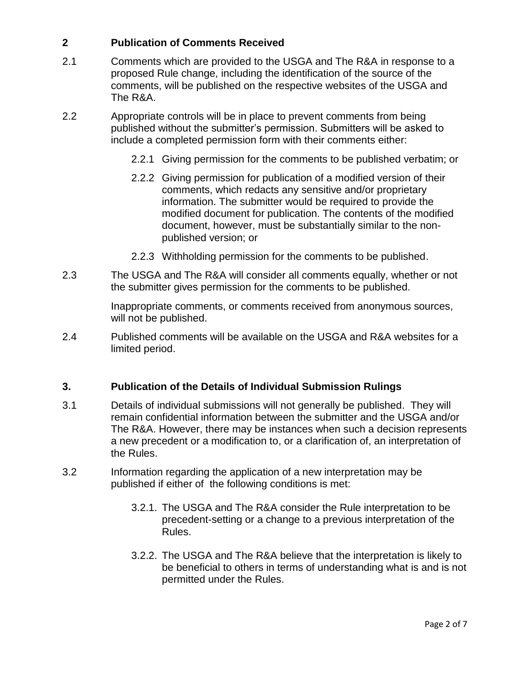# **2 Publication of Comments Received**

- 2.1 Comments which are provided to the USGA and The R&A in response to a proposed Rule change, including the identification of the source of the comments, will be published on the respective websites of the USGA and The R&A.
- 2.2 Appropriate controls will be in place to prevent comments from being published without the submitter's permission. Submitters will be asked to include a completed permission form with their comments either:
	- 2.2.1 Giving permission for the comments to be published verbatim; or
	- 2.2.2 Giving permission for publication of a modified version of their comments, which redacts any sensitive and/or proprietary information. The submitter would be required to provide the modified document for publication. The contents of the modified document, however, must be substantially similar to the nonpublished version; or
	- 2.2.3 Withholding permission for the comments to be published.
- 2.3 The USGA and The R&A will consider all comments equally, whether or not the submitter gives permission for the comments to be published.

Inappropriate comments, or comments received from anonymous sources, will not be published.

2.4 Published comments will be available on the USGA and R&A websites for a limited period.

# **3. Publication of the Details of Individual Submission Rulings**

- 3.1 Details of individual submissions will not generally be published. They will remain confidential information between the submitter and the USGA and/or The R&A. However, there may be instances when such a decision represents a new precedent or a modification to, or a clarification of, an interpretation of the Rules.
- 3.2 Information regarding the application of a new interpretation may be published if either of the following conditions is met:
	- 3.2.1. The USGA and The R&A consider the Rule interpretation to be precedent-setting or a change to a previous interpretation of the Rules.
	- 3.2.2. The USGA and The R&A believe that the interpretation is likely to be beneficial to others in terms of understanding what is and is not permitted under the Rules.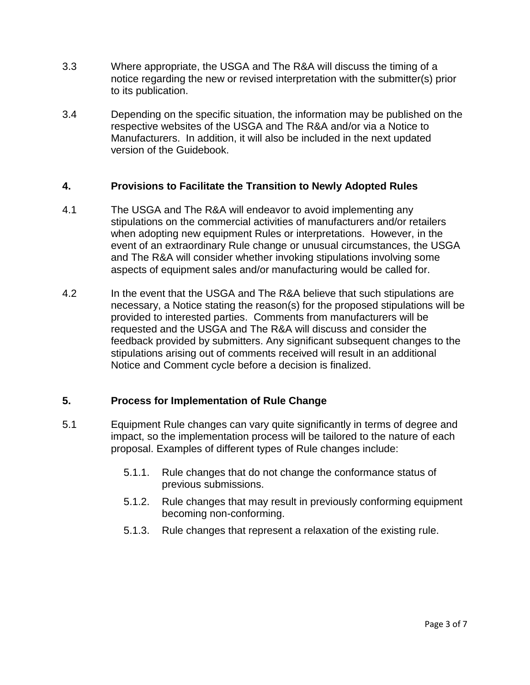- 3.3 Where appropriate, the USGA and The R&A will discuss the timing of a notice regarding the new or revised interpretation with the submitter(s) prior to its publication.
- 3.4 Depending on the specific situation, the information may be published on the respective websites of the USGA and The R&A and/or via a Notice to Manufacturers. In addition, it will also be included in the next updated version of the Guidebook.

### **4. Provisions to Facilitate the Transition to Newly Adopted Rules**

- 4.1 The USGA and The R&A will endeavor to avoid implementing any stipulations on the commercial activities of manufacturers and/or retailers when adopting new equipment Rules or interpretations. However, in the event of an extraordinary Rule change or unusual circumstances, the USGA and The R&A will consider whether invoking stipulations involving some aspects of equipment sales and/or manufacturing would be called for.
- 4.2 In the event that the USGA and The R&A believe that such stipulations are necessary, a Notice stating the reason(s) for the proposed stipulations will be provided to interested parties. Comments from manufacturers will be requested and the USGA and The R&A will discuss and consider the feedback provided by submitters. Any significant subsequent changes to the stipulations arising out of comments received will result in an additional Notice and Comment cycle before a decision is finalized.

# **5. Process for Implementation of Rule Change**

- 5.1 Equipment Rule changes can vary quite significantly in terms of degree and impact, so the implementation process will be tailored to the nature of each proposal. Examples of different types of Rule changes include:
	- 5.1.1. Rule changes that do not change the conformance status of previous submissions.
	- 5.1.2. Rule changes that may result in previously conforming equipment becoming non-conforming.
	- 5.1.3. Rule changes that represent a relaxation of the existing rule.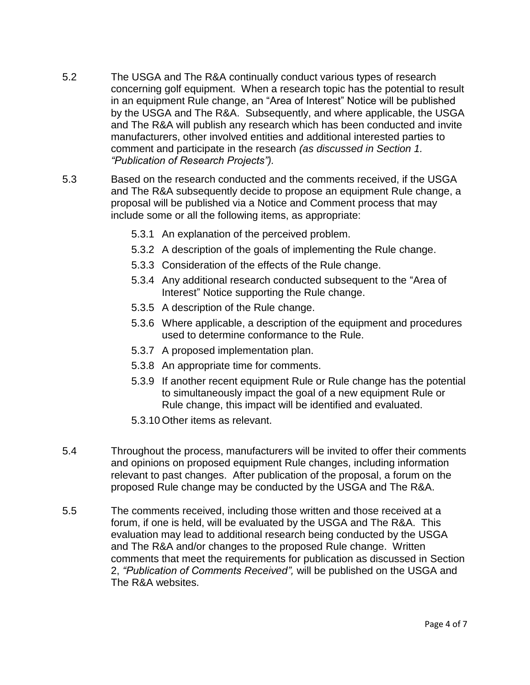- 5.2 The USGA and The R&A continually conduct various types of research concerning golf equipment. When a research topic has the potential to result in an equipment Rule change, an "Area of Interest" Notice will be published by the USGA and The R&A. Subsequently, and where applicable, the USGA and The R&A will publish any research which has been conducted and invite manufacturers, other involved entities and additional interested parties to comment and participate in the research *(as discussed in Section 1. "Publication of Research Projects").*
- 5.3 Based on the research conducted and the comments received, if the USGA and The R&A subsequently decide to propose an equipment Rule change, a proposal will be published via a Notice and Comment process that may include some or all the following items, as appropriate:
	- 5.3.1 An explanation of the perceived problem.
	- 5.3.2 A description of the goals of implementing the Rule change.
	- 5.3.3 Consideration of the effects of the Rule change.
	- 5.3.4 Any additional research conducted subsequent to the "Area of Interest" Notice supporting the Rule change.
	- 5.3.5 A description of the Rule change.
	- 5.3.6 Where applicable, a description of the equipment and procedures used to determine conformance to the Rule.
	- 5.3.7 A proposed implementation plan.
	- 5.3.8 An appropriate time for comments.
	- 5.3.9 If another recent equipment Rule or Rule change has the potential to simultaneously impact the goal of a new equipment Rule or Rule change, this impact will be identified and evaluated.
	- 5.3.10 Other items as relevant.
- 5.4 Throughout the process, manufacturers will be invited to offer their comments and opinions on proposed equipment Rule changes, including information relevant to past changes. After publication of the proposal, a forum on the proposed Rule change may be conducted by the USGA and The R&A.
- 5.5 The comments received, including those written and those received at a forum, if one is held, will be evaluated by the USGA and The R&A. This evaluation may lead to additional research being conducted by the USGA and The R&A and/or changes to the proposed Rule change. Written comments that meet the requirements for publication as discussed in Section 2, *"Publication of Comments Received",* will be published on the USGA and The R&A websites.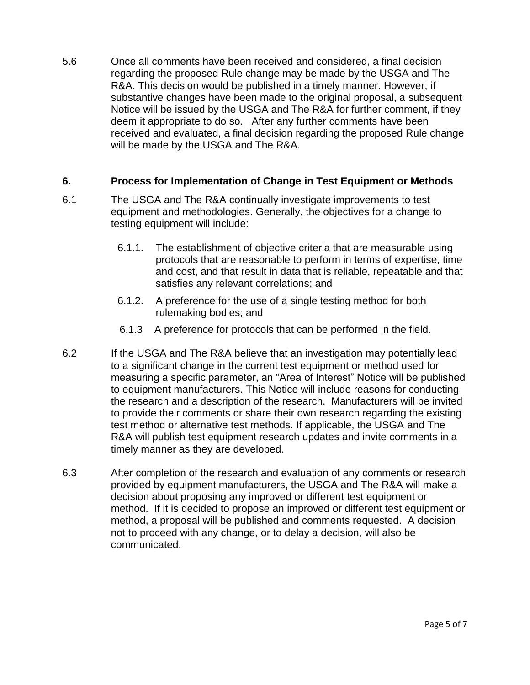5.6 Once all comments have been received and considered, a final decision regarding the proposed Rule change may be made by the USGA and The R&A. This decision would be published in a timely manner. However, if substantive changes have been made to the original proposal, a subsequent Notice will be issued by the USGA and The R&A for further comment, if they deem it appropriate to do so. After any further comments have been received and evaluated, a final decision regarding the proposed Rule change will be made by the USGA and The R&A.

### **6. Process for Implementation of Change in Test Equipment or Methods**

- 6.1 The USGA and The R&A continually investigate improvements to test equipment and methodologies. Generally, the objectives for a change to testing equipment will include:
	- 6.1.1. The establishment of objective criteria that are measurable using protocols that are reasonable to perform in terms of expertise, time and cost, and that result in data that is reliable, repeatable and that satisfies any relevant correlations; and
	- 6.1.2. A preference for the use of a single testing method for both rulemaking bodies; and
	- 6.1.3 A preference for protocols that can be performed in the field.
- 6.2 If the USGA and The R&A believe that an investigation may potentially lead to a significant change in the current test equipment or method used for measuring a specific parameter, an "Area of Interest" Notice will be published to equipment manufacturers. This Notice will include reasons for conducting the research and a description of the research. Manufacturers will be invited to provide their comments or share their own research regarding the existing test method or alternative test methods. If applicable, the USGA and The R&A will publish test equipment research updates and invite comments in a timely manner as they are developed.
- 6.3 After completion of the research and evaluation of any comments or research provided by equipment manufacturers, the USGA and The R&A will make a decision about proposing any improved or different test equipment or method. If it is decided to propose an improved or different test equipment or method, a proposal will be published and comments requested. A decision not to proceed with any change, or to delay a decision, will also be communicated.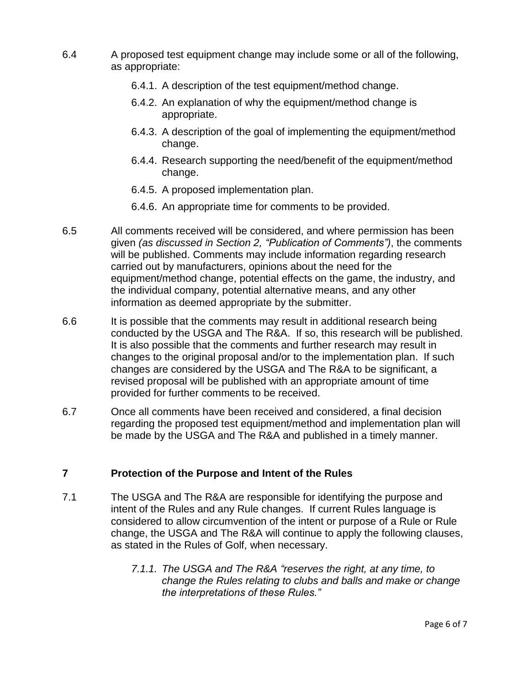- 6.4 A proposed test equipment change may include some or all of the following, as appropriate:
	- 6.4.1. A description of the test equipment/method change.
	- 6.4.2. An explanation of why the equipment/method change is appropriate.
	- 6.4.3. A description of the goal of implementing the equipment/method change.
	- 6.4.4. Research supporting the need/benefit of the equipment/method change.
	- 6.4.5. A proposed implementation plan.
	- 6.4.6. An appropriate time for comments to be provided.
- 6.5 All comments received will be considered, and where permission has been given *(as discussed in Section 2, "Publication of Comments")*, the comments will be published. Comments may include information regarding research carried out by manufacturers, opinions about the need for the equipment/method change, potential effects on the game, the industry, and the individual company, potential alternative means, and any other information as deemed appropriate by the submitter.
- 6.6 It is possible that the comments may result in additional research being conducted by the USGA and The R&A. If so, this research will be published. It is also possible that the comments and further research may result in changes to the original proposal and/or to the implementation plan. If such changes are considered by the USGA and The R&A to be significant, a revised proposal will be published with an appropriate amount of time provided for further comments to be received.
- 6.7 Once all comments have been received and considered, a final decision regarding the proposed test equipment/method and implementation plan will be made by the USGA and The R&A and published in a timely manner.

### **7 Protection of the Purpose and Intent of the Rules**

- 7.1 The USGA and The R&A are responsible for identifying the purpose and intent of the Rules and any Rule changes. If current Rules language is considered to allow circumvention of the intent or purpose of a Rule or Rule change, the USGA and The R&A will continue to apply the following clauses, as stated in the Rules of Golf, when necessary.
	- *7.1.1. The USGA and The R&A "reserves the right, at any time, to change the Rules relating to clubs and balls and make or change the interpretations of these Rules."*